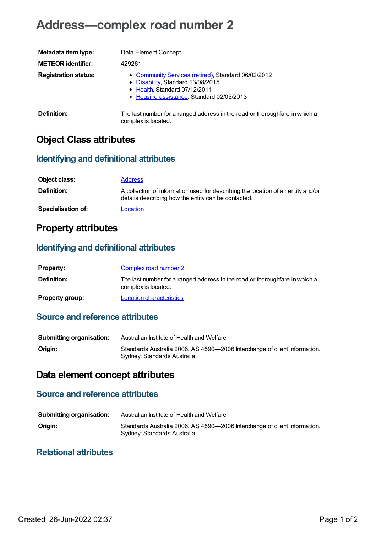# **Address—complex road number 2**

| Metadata item type:         | Data Element Concept                                                                                                                                                   |
|-----------------------------|------------------------------------------------------------------------------------------------------------------------------------------------------------------------|
| <b>METEOR identifier:</b>   | 429261                                                                                                                                                                 |
| <b>Registration status:</b> | • Community Services (retired), Standard 06/02/2012<br>• Disability, Standard 13/08/2015<br>• Health, Standard 07/12/2011<br>• Housing assistance, Standard 02/05/2013 |
| Definition:                 | The last number for a ranged address in the road or thoroughfare in which a<br>complex is located.                                                                     |

# **Object Class attributes**

#### **Identifying and definitional attributes**

| Object class:             | <b>Address</b>                                                                                                                          |
|---------------------------|-----------------------------------------------------------------------------------------------------------------------------------------|
| Definition:               | A collection of information used for describing the location of an entity and/or<br>details describing how the entity can be contacted. |
| <b>Specialisation of:</b> | Location                                                                                                                                |

# **Property attributes**

### **Identifying and definitional attributes**

| <b>Property:</b>       | Complex road number 2                                                                              |
|------------------------|----------------------------------------------------------------------------------------------------|
| <b>Definition:</b>     | The last number for a ranged address in the road or thoroughfare in which a<br>complex is located. |
| <b>Property group:</b> | <b>Location characteristics</b>                                                                    |

## **Source and reference attributes**

| <b>Submitting organisation:</b> | Australian Institute of Health and Welfare                                                                |
|---------------------------------|-----------------------------------------------------------------------------------------------------------|
| Origin:                         | Standards Australia 2006. AS 4590-2006 Interchange of client information.<br>Sydney: Standards Australia. |

# **Data element concept attributes**

#### **Source and reference attributes**

| <b>Submitting organisation:</b> | Australian Institute of Health and Welfare                                                                |
|---------------------------------|-----------------------------------------------------------------------------------------------------------|
| Origin:                         | Standards Australia 2006. AS 4590-2006 Interchange of client information.<br>Sydney: Standards Australia. |

#### **Relational attributes**